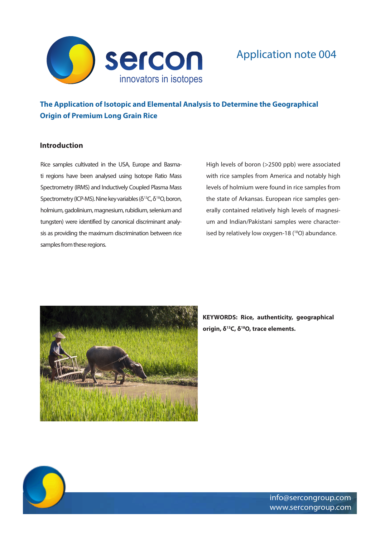

# Application note 004

**The Application of Isotopic and Elemental Analysis to Determine the Geographical Origin of Premium Long Grain Rice**

#### **Introduction**

Rice samples cultivated in the USA, Europe and Basmati regions have been analysed using Isotope Ratio Mass Spectrometry (IRMS) and Inductively Coupled Plasma Mass Spectrometry (ICP-MS). Nine key variables ( $\delta^{13}C$ ,  $\delta^{18}O$ , boron, holmium, gadolinium, magnesium, rubidium, selenium and tungsten) were identified by canonical discriminant analysis as providing the maximum discrimination between rice samples from these regions.

High levels of boron (>2500 ppb) were associated with rice samples from America and notably high levels of holmium were found in rice samples from the state of Arkansas. European rice samples generally contained relatively high levels of magnesium and Indian/Pakistani samples were characterised by relatively low oxygen-18  $(^{18}O)$  abundance.



**KEYWORDS: Rice, authenticity, geographical origin, δ13C, δ18O, trace elements.**

> info@sercongroup.com www.sercongroup.com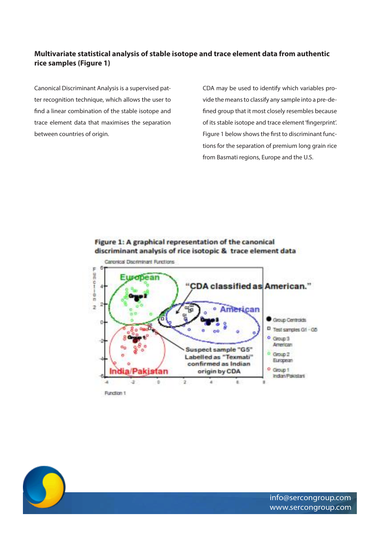## **Multivariate statistical analysis of stable isotope and trace element data from authentic rice samples (Figure 1)**

Canonical Discriminant Analysis is a supervised patter recognition technique, which allows the user to find a linear combination of the stable isotope and trace element data that maximises the separation between countries of origin.

CDA may be used to identify which variables provide the means to classify any sample into a pre-defined group that it most closely resembles because of its stable isotope and trace element 'fingerprint'. Figure 1 below shows the first to discriminant functions for the separation of premium long grain rice from Basmati regions, Europe and the U.S.



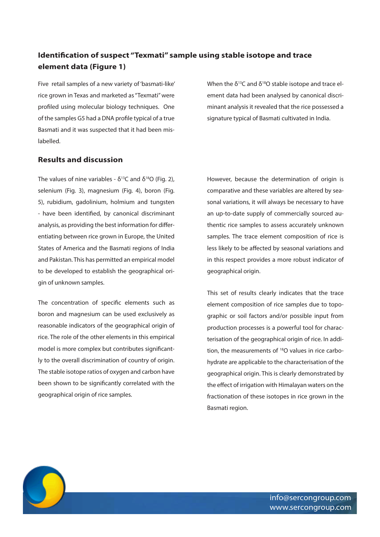# **Identification of suspect "Texmati" sample using stable isotope and trace element data (Figure 1)**

Five retail samples of a new variety of 'basmati-like' rice grown in Texas and marketed as "Texmati" were profiled using molecular biology techniques. One of the samples G5 had a DNA profile typical of a true Basmati and it was suspected that it had been mislabelled.

When the  $\delta^{13}$ C and  $\delta^{18}$ O stable isotope and trace element data had been analysed by canonical discriminant analysis it revealed that the rice possessed a signature typical of Basmati cultivated in India.

#### **Results and discussion**

The values of nine variables -  $\delta^{13}$ C and  $\delta^{18}$ O (Fig. 2), selenium (Fig. 3), magnesium (Fig. 4), boron (Fig. 5), rubidium, gadolinium, holmium and tungsten - have been identified, by canonical discriminant analysis, as providing the best information for differentiating between rice grown in Europe, the United States of America and the Basmati regions of India and Pakistan. This has permitted an empirical model to be developed to establish the geographical origin of unknown samples.

The concentration of specific elements such as boron and magnesium can be used exclusively as reasonable indicators of the geographical origin of rice. The role of the other elements in this empirical model is more complex but contributes significantly to the overall discrimination of country of origin. The stable isotope ratios of oxygen and carbon have been shown to be significantly correlated with the geographical origin of rice samples.

 $\overline{a}$ 

However, because the determination of origin is comparative and these variables are altered by seasonal variations, it will always be necessary to have an up-to-date supply of commercially sourced authentic rice samples to assess accurately unknown samples. The trace element composition of rice is less likely to be affected by seasonal variations and in this respect provides a more robust indicator of geographical origin.

This set of results clearly indicates that the trace element composition of rice samples due to topographic or soil factors and/or possible input from production processes is a powerful tool for characterisation of the geographical origin of rice. In addition, the measurements of 18O values in rice carbohydrate are applicable to the characterisation of the geographical origin. This is clearly demonstrated by the effect of irrigation with Himalayan waters on the fractionation of these isotopes in rice grown in the Basmati region.